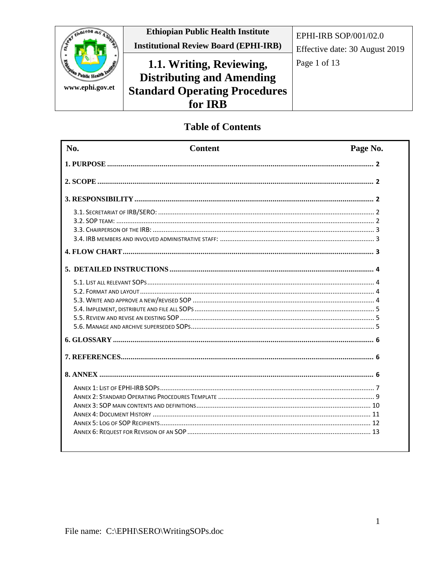

## **Table of Contents**

| No. | <b>Content</b> | Page No. |
|-----|----------------|----------|
|     |                |          |
|     |                |          |
|     |                |          |
|     |                |          |
|     |                |          |
|     |                |          |
|     |                |          |
|     |                |          |
|     |                |          |
|     |                |          |
|     |                |          |
|     |                |          |
|     |                |          |
|     |                |          |
|     |                |          |
|     |                |          |
|     |                |          |
|     |                |          |
|     |                |          |
|     |                |          |
|     |                |          |
|     |                |          |
|     |                |          |
|     |                |          |
|     |                |          |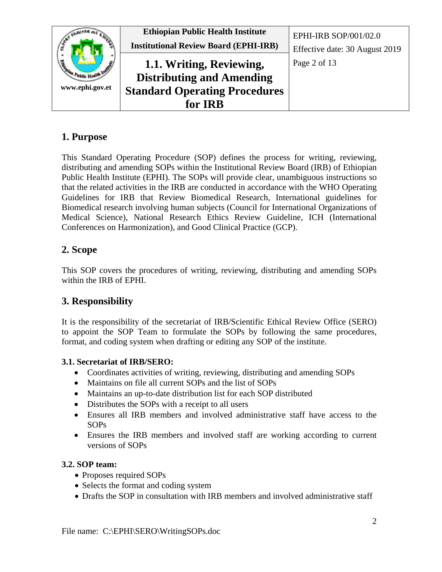

## <span id="page-1-0"></span>**1. Purpose**

This Standard Operating Procedure (SOP) defines the process for writing, reviewing, distributing and amending SOPs within the Institutional Review Board (IRB) of Ethiopian Public Health Institute (EPHI). The SOPs will provide clear, unambiguous instructions so that the related activities in the IRB are conducted in accordance with the WHO Operating Guidelines for IRB that Review Biomedical Research, International guidelines for Biomedical research involving human subjects (Council for International Organizations of Medical Science), National Research Ethics Review Guideline, ICH (International Conferences on Harmonization), and Good Clinical Practice (GCP).

## <span id="page-1-1"></span>**2. Scope**

This SOP covers the procedures of writing, reviewing, distributing and amending SOPs within the IRB of EPHI.

## <span id="page-1-2"></span>**3. Responsibility**

It is the responsibility of the secretariat of IRB/Scientific Ethical Review Office (SERO) to appoint the SOP Team to formulate the SOPs by following the same procedures, format, and coding system when drafting or editing any SOP of the institute.

## <span id="page-1-3"></span>**3.1. Secretariat of IRB/SERO:**

- Coordinates activities of writing, reviewing, distributing and amending SOPs
- Maintains on file all current SOPs and the list of SOPs
- Maintains an up-to-date distribution list for each SOP distributed
- Distributes the SOPs with a receipt to all users
- Ensures all IRB members and involved administrative staff have access to the SOPs
- Ensures the IRB members and involved staff are working according to current versions of SOPs

## <span id="page-1-4"></span>**3.2. SOP team:**

- Proposes required SOPs
- Selects the format and coding system
- Drafts the SOP in consultation with IRB members and involved administrative staff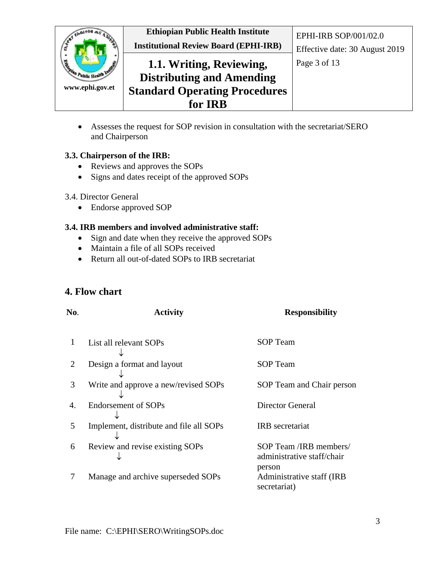

• Assesses the request for SOP revision in consultation with the secretariat/SERO and Chairperson

#### <span id="page-2-0"></span>**3.3. Chairperson of the IRB:**

- Reviews and approves the SOPs
- Signs and dates receipt of the approved SOPs

#### 3.4. Director General

• Endorse approved SOP

#### <span id="page-2-1"></span>**3.4. IRB members and involved administrative staff:**

- Sign and date when they receive the approved SOPs
- Maintain a file of all SOPs received
- Return all out-of-dated SOPs to IRB secretariat

## <span id="page-2-2"></span>**4. Flow chart**

| No. | <b>Activity</b>                         | <b>Responsibility</b>                                          |
|-----|-----------------------------------------|----------------------------------------------------------------|
| 1   | List all relevant SOPs                  | SOP Team                                                       |
| 2   | Design a format and layout              | <b>SOP</b> Team                                                |
| 3   | Write and approve a new/revised SOPs    | SOP Team and Chair person                                      |
| 4.  | <b>Endorsement of SOPs</b>              | Director General                                               |
| 5   | Implement, distribute and file all SOPs | <b>IRB</b> secretariat                                         |
| 6   | Review and revise existing SOPs         | SOP Team /IRB members/<br>administrative staff/chair<br>person |
| 7   | Manage and archive superseded SOPs      | Administrative staff (IRB)<br>secretariat)                     |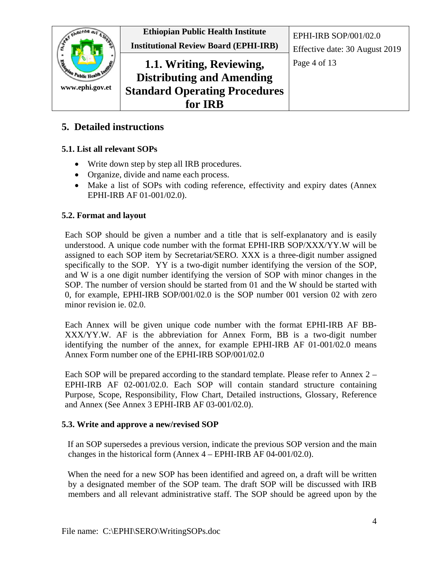

## <span id="page-3-0"></span>**5. Detailed instructions**

#### <span id="page-3-1"></span>**5.1. List all relevant SOPs**

- Write down step by step all IRB procedures.
- Organize, divide and name each process.
- Make a list of SOPs with coding reference, effectivity and expiry dates (Annex EPHI-IRB AF 01-001/02.0).

#### <span id="page-3-2"></span>**5.2. Format and layout**

Each SOP should be given a number and a title that is self-explanatory and is easily understood. A unique code number with the format EPHI-IRB SOP/XXX/YY.W will be assigned to each SOP item by Secretariat*/*SERO*.* XXX is a three-digit number assigned specifically to the SOP. YY is a two-digit number identifying the version of the SOP, and W is a one digit number identifying the version of SOP with minor changes in the SOP. The number of version should be started from 01 and the W should be started with 0, for example, EPHI-IRB SOP/001/02.0 is the SOP number 001 version 02 with zero minor revision ie. 02.0.

Each Annex will be given unique code number with the format EPHI-IRB AF BB-XXX/YY.W. AF is the abbreviation for Annex Form, BB is a two-digit number identifying the number of the annex, for example EPHI-IRB AF 01-001/02.0 means Annex Form number one of the EPHI-IRB SOP/001/02.0

Each SOP will be prepared according to the standard template. Please refer to Annex 2 – EPHI-IRB AF 02-001/02.0. Each SOP will contain standard structure containing Purpose, Scope, Responsibility, Flow Chart, Detailed instructions, Glossary, Reference and Annex (See Annex 3 EPHI-IRB AF 03-001/02.0).

#### <span id="page-3-3"></span>**5.3. Write and approve a new/revised SOP**

If an SOP supersedes a previous version, indicate the previous SOP version and the main changes in the historical form (Annex 4 – EPHI-IRB AF 04-001/02.0).

When the need for a new SOP has been identified and agreed on, a draft will be written by a designated member of the SOP team. The draft SOP will be discussed with IRB members and all relevant administrative staff. The SOP should be agreed upon by the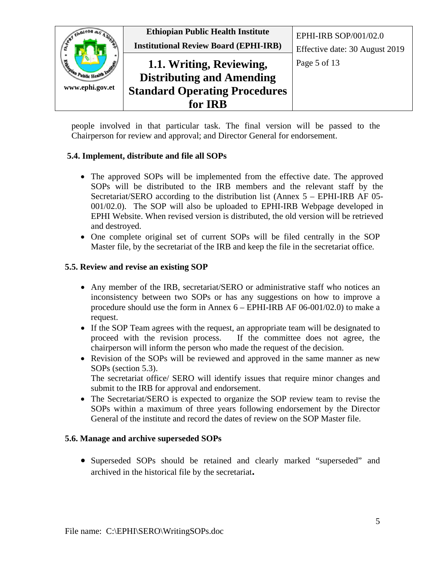

people involved in that particular task. The final version will be passed to the Chairperson for review and approval; and Director General for endorsement.

#### <span id="page-4-0"></span>**5.4. Implement, distribute and file all SOPs**

- The approved SOPs will be implemented from the effective date. The approved SOPs will be distributed to the IRB members and the relevant staff by the Secretariat/SERO according to the distribution list (Annex 5 – EPHI-IRB AF 05- 001/02.0). The SOP will also be uploaded to EPHI-IRB Webpage developed in EPHI Website. When revised version is distributed, the old version will be retrieved and destroyed.
- One complete original set of current SOPs will be filed centrally in the SOP Master file, by the secretariat of the IRB and keep the file in the secretariat office*.*

#### <span id="page-4-1"></span>**5.5. Review and revise an existing SOP**

- Any member of the IRB, secretariat/SERO or administrative staff who notices an inconsistency between two SOPs or has any suggestions on how to improve a procedure should use the form in Annex 6 – EPHI-IRB AF 06-001/02.0) to make a request.
- If the SOP Team agrees with the request, an appropriate team will be designated to proceed with the revision process. If the committee does not agree, the chairperson will inform the person who made the request of the decision.
- Revision of the SOPs will be reviewed and approved in the same manner as new SOPs (section 5.3). The secretariat office/ SERO will identify issues that require minor changes and
	- submit to the IRB for approval and endorsement.
- The Secretariat/SERO is expected to organize the SOP review team to revise the SOPs within a maximum of three years following endorsement by the Director General of the institute and record the dates of review on the SOP Master file.

#### <span id="page-4-2"></span>**5.6. Manage and archive superseded SOPs**

• Superseded SOPs should be retained and clearly marked "superseded" and archived in the historical file by the secretariat**.**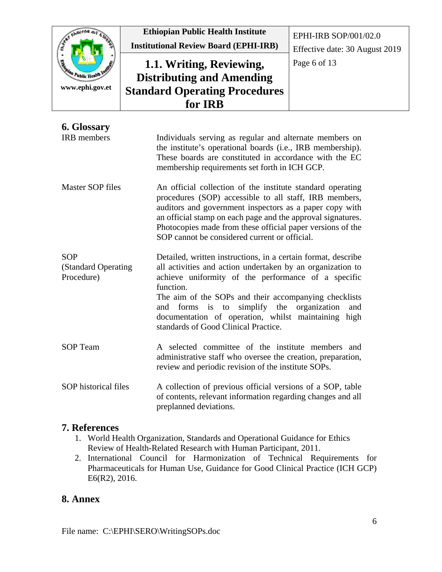| $M+M$ <sub>ne</sub>  | <b>Ethiopian Public Health Institute</b>     | EPHI-IRB SOP/001/02.0          |
|----------------------|----------------------------------------------|--------------------------------|
|                      | <b>Institutional Review Board (EPHI-IRB)</b> | Effective date: 30 August 2019 |
| <b>PASSAL</b>        | 1.1. Writing, Reviewing,                     | Page 6 of 13                   |
| " Public Health Inc. | <b>Distributing and Amending</b>             |                                |
| www.ephi.gov.et      | <b>Standard Operating Procedures</b>         |                                |
|                      | for IRB                                      |                                |

<span id="page-5-0"></span>

| 6. Glossary                                      |                                                                                                                                                                                                                                                                                                                                                               |
|--------------------------------------------------|---------------------------------------------------------------------------------------------------------------------------------------------------------------------------------------------------------------------------------------------------------------------------------------------------------------------------------------------------------------|
| <b>IRB</b> members                               | Individuals serving as regular and alternate members on<br>the institute's operational boards (i.e., IRB membership).<br>These boards are constituted in accordance with the EC<br>membership requirements set forth in ICH GCP.                                                                                                                              |
| <b>Master SOP files</b>                          | An official collection of the institute standard operating<br>procedures (SOP) accessible to all staff, IRB members,<br>auditors and government inspectors as a paper copy with<br>an official stamp on each page and the approval signatures.<br>Photocopies made from these official paper versions of the<br>SOP cannot be considered current or official. |
| <b>SOP</b><br>(Standard Operating)<br>Procedure) | Detailed, written instructions, in a certain format, describe<br>all activities and action undertaken by an organization to<br>achieve uniformity of the performance of a specific<br>function.<br>$\mathbf{m}$ , can constant the state of the state of $\mathbf{m}$                                                                                         |

The aim of the SOPs and their accompanying checklists and forms is to simplify the organization and documentation of operation, whilst maintaining high standards of Good Clinical Practice.

- SOP Team A selected committee of the institute members and administrative staff who oversee the creation, preparation, review and periodic revision of the institute SOPs.
- SOP historical files A collection of previous official versions of a SOP, table of contents, relevant information regarding changes and all preplanned deviations.

### <span id="page-5-1"></span>**7. References**

- 1. World Health Organization, Standards and Operational Guidance for Ethics Review of Health-Related Research with Human Participant, 2011.
- 2. International Council for Harmonization of Technical Requirements for Pharmaceuticals for Human Use, Guidance for Good Clinical Practice (ICH GCP) E6(R2), 2016.

## <span id="page-5-2"></span>**8. Annex**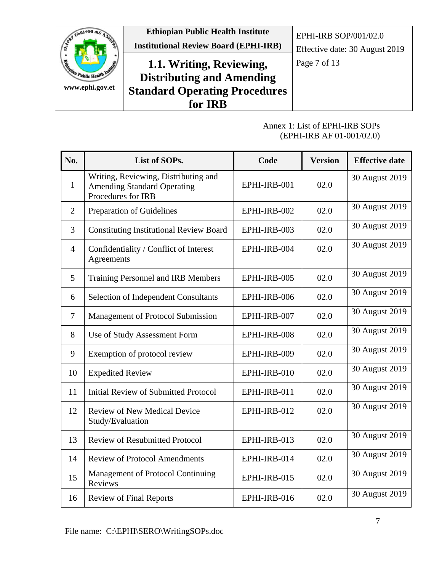

#### Annex 1: List of EPHI-IRB SOPs (EPHI-IRB AF 01-001/02.0)

<span id="page-6-0"></span>

| No.            | List of SOPs.                                                                                    | Code         | <b>Version</b> | <b>Effective date</b> |
|----------------|--------------------------------------------------------------------------------------------------|--------------|----------------|-----------------------|
| 1              | Writing, Reviewing, Distributing and<br><b>Amending Standard Operating</b><br>Procedures for IRB | EPHI-IRB-001 | 02.0           | 30 August 2019        |
| 2              | Preparation of Guidelines                                                                        | EPHI-IRB-002 | 02.0           | 30 August 2019        |
| 3              | <b>Constituting Institutional Review Board</b>                                                   | EPHI-IRB-003 | 02.0           | 30 August 2019        |
| 4              | Confidentiality / Conflict of Interest<br>Agreements                                             | EPHI-IRB-004 | 02.0           | 30 August 2019        |
| 5              | Training Personnel and IRB Members                                                               | EPHI-IRB-005 | 02.0           | 30 August 2019        |
| 6              | <b>Selection of Independent Consultants</b>                                                      | EPHI-IRB-006 | 02.0           | 30 August 2019        |
| $\overline{7}$ | Management of Protocol Submission                                                                | EPHI-IRB-007 | 02.0           | 30 August 2019        |
| 8              | Use of Study Assessment Form                                                                     | EPHI-IRB-008 | 02.0           | 30 August 2019        |
| 9              | Exemption of protocol review                                                                     | EPHI-IRB-009 | 02.0           | 30 August 2019        |
| 10             | <b>Expedited Review</b>                                                                          | EPHI-IRB-010 | 02.0           | 30 August 2019        |
| 11             | <b>Initial Review of Submitted Protocol</b>                                                      | EPHI-IRB-011 | 02.0           | 30 August 2019        |
| 12             | <b>Review of New Medical Device</b><br>Study/Evaluation                                          | EPHI-IRB-012 | 02.0           | 30 August 2019        |
| 13             | <b>Review of Resubmitted Protocol</b>                                                            | EPHI-IRB-013 | 02.0           | 30 August 2019        |
| 14             | <b>Review of Protocol Amendments</b>                                                             | EPHI-IRB-014 | 02.0           | 30 August 2019        |
| 15             | Management of Protocol Continuing<br>Reviews                                                     | EPHI-IRB-015 | 02.0           | 30 August 2019        |
| 16             | <b>Review of Final Reports</b>                                                                   | EPHI-IRB-016 | 02.0           | 30 August 2019        |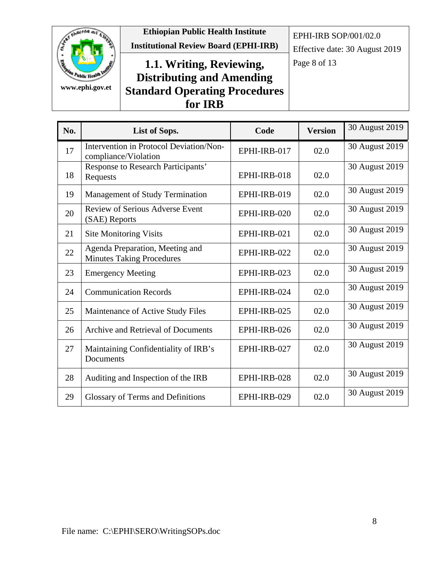

**Ethiopian Public Health Institute Institutional Review Board (EPHI-IRB)**

EPHI-IRB SOP/001/02.0

Effective date: 30 August 2019

# 1.1. Writing, Reviewing, Page 8 of 13 **Distributing and Amending Standard Operating Procedures for IRB**

| No. | List of Sops.                                                       | Code         | <b>Version</b> | 30 August 2019 |
|-----|---------------------------------------------------------------------|--------------|----------------|----------------|
| 17  | Intervention in Protocol Deviation/Non-<br>compliance/Violation     | EPHI-IRB-017 | 02.0           | 30 August 2019 |
| 18  | Response to Research Participants'<br>Requests                      | EPHI-IRB-018 | 02.0           | 30 August 2019 |
| 19  | <b>Management of Study Termination</b>                              | EPHI-IRB-019 | 02.0           | 30 August 2019 |
| 20  | Review of Serious Adverse Event<br>(SAE) Reports                    | EPHI-IRB-020 | 02.0           | 30 August 2019 |
| 21  | <b>Site Monitoring Visits</b>                                       | EPHI-IRB-021 | 02.0           | 30 August 2019 |
| 22  | Agenda Preparation, Meeting and<br><b>Minutes Taking Procedures</b> | EPHI-IRB-022 | 02.0           | 30 August 2019 |
| 23  | <b>Emergency Meeting</b>                                            | EPHI-IRB-023 | 02.0           | 30 August 2019 |
| 24  | <b>Communication Records</b>                                        | EPHI-IRB-024 | 02.0           | 30 August 2019 |
| 25  | Maintenance of Active Study Files                                   | EPHI-IRB-025 | 02.0           | 30 August 2019 |
| 26  | Archive and Retrieval of Documents                                  | EPHI-IRB-026 | 02.0           | 30 August 2019 |
| 27  | Maintaining Confidentiality of IRB's<br>Documents                   | EPHI-IRB-027 | 02.0           | 30 August 2019 |
| 28  | Auditing and Inspection of the IRB                                  | EPHI-IRB-028 | 02.0           | 30 August 2019 |
| 29  | Glossary of Terms and Definitions                                   | EPHI-IRB-029 | 02.0           | 30 August 2019 |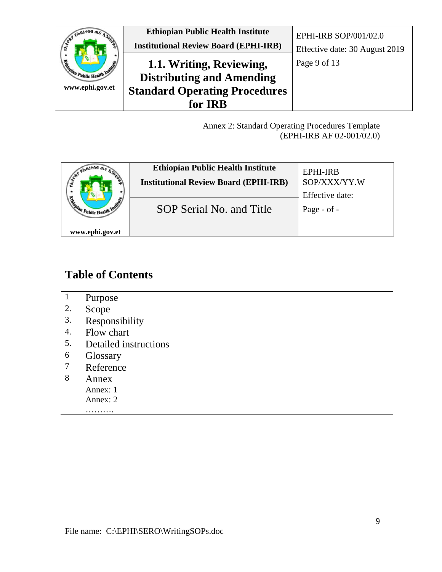

Annex 2: Standard Operating Procedures Template (EPHI-IRB AF 02-001/02.0)

<span id="page-8-0"></span>

| <b>BEAT</b>     | <b>Ethiopian Public Health Institute</b><br><b>Institutional Review Board (EPHI-IRB)</b> | EPHI-IRB<br>SOP/XXX/YY.W       |
|-----------------|------------------------------------------------------------------------------------------|--------------------------------|
|                 | SOP Serial No. and Title                                                                 | Effective date:<br>Page - of - |
| www.ephi.gov.et |                                                                                          |                                |

# **Table of Contents**

- 1 Purpose
- 2. Scope
- 3. Responsibility
- 4. Flow chart<br>5. Detailed ins
- 5. Detailed instructions
- 6 Glossary<br>7 Reference
- 7 Reference<br>8 Annex
- **Annex** 
	- Annex: 1
	- Annex: 2 ……….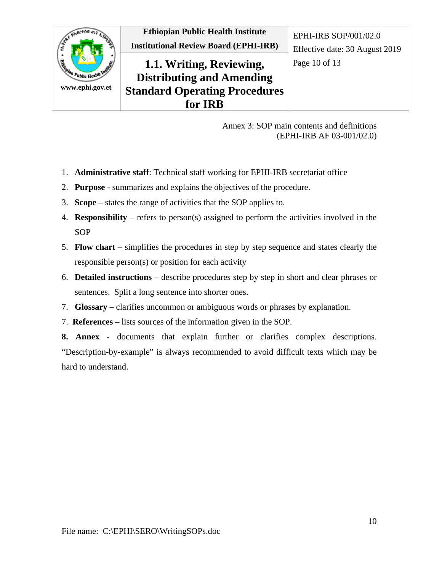

Annex 3: SOP main contents and definitions (EPHI-IRB AF 03-001/02.0)

- <span id="page-9-0"></span>1. **Administrative staff**: Technical staff working for EPHI-IRB secretariat office
- 2. **Purpose** summarizes and explains the objectives of the procedure.
- 3. **Scope** states the range of activities that the SOP applies to.
- 4. **Responsibility** refers to person(s) assigned to perform the activities involved in the **SOP**
- 5. **Flow chart** simplifies the procedures in step by step sequence and states clearly the responsible person(s) or position for each activity
- 6. **Detailed instructions** describe procedures step by step in short and clear phrases or sentences. Split a long sentence into shorter ones.
- 7. **Glossary** clarifies uncommon or ambiguous words or phrases by explanation.
- 7. **References** lists sources of the information given in the SOP.

**8. Annex** - documents that explain further or clarifies complex descriptions. "Description-by-example" is always recommended to avoid difficult texts which may be hard to understand.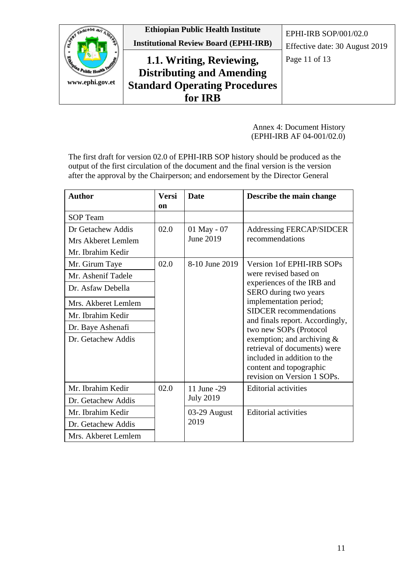

Annex 4: Document History (EPHI-IRB AF 04-001/02.0)

<span id="page-10-0"></span>The first draft for version 02.0 of EPHI-IRB SOP history should be produced as the output of the first circulation of the document and the final version is the version after the approval by the Chairperson; and endorsement by the Director General

| <b>Author</b>                                                  | Versi<br>on | <b>Date</b>                     | Describe the main change                                                                                                                                                         |
|----------------------------------------------------------------|-------------|---------------------------------|----------------------------------------------------------------------------------------------------------------------------------------------------------------------------------|
| <b>SOP</b> Team                                                |             |                                 |                                                                                                                                                                                  |
| Dr Getachew Addis<br>Mrs Akberet Lemlem<br>Mr. Ibrahim Kedir   | 02.0        | 01 May - 07<br>June 2019        | <b>Addressing FERCAP/SIDCER</b><br>recommendations                                                                                                                               |
| Mr. Girum Taye<br>Mr. Ashenif Tadele<br>Dr. Asfaw Debella      | 02.0        | 8-10 June 2019                  | Version 1 of EPHI-IRB SOPs<br>were revised based on<br>experiences of the IRB and<br>SERO during two years                                                                       |
| Mrs. Akberet Lemlem<br>Mr. Ibrahim Kedir                       |             |                                 | implementation period;<br><b>SIDCER</b> recommendations<br>and finals report. Accordingly,                                                                                       |
| Dr. Baye Ashenafi<br>Dr. Getachew Addis                        |             |                                 | two new SOPs (Protocol<br>exemption; and archiving $\&$<br>retrieval of documents) were<br>included in addition to the<br>content and topographic<br>revision on Version 1 SOPs. |
| Mr. Ibrahim Kedir<br>Dr. Getachew Addis                        | 02.0        | 11 June -29<br><b>July 2019</b> | <b>Editorial activities</b>                                                                                                                                                      |
| Mr. Ibrahim Kedir<br>Dr. Getachew Addis<br>Mrs. Akberet Lemlem |             | 03-29 August<br>2019            | <b>Editorial activities</b>                                                                                                                                                      |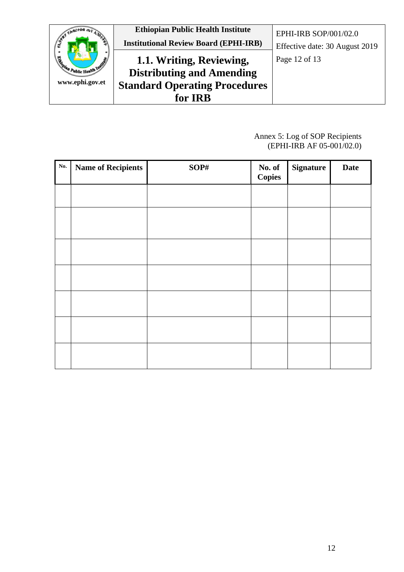

#### Annex 5: Log of SOP Recipients (EPHI-IRB AF 05-001/02.0)

<span id="page-11-0"></span>

| No. | <b>Name of Recipients</b> | SOP# | <b>No. of</b><br>Copies | <b>Signature</b> | <b>Date</b> |
|-----|---------------------------|------|-------------------------|------------------|-------------|
|     |                           |      |                         |                  |             |
|     |                           |      |                         |                  |             |
|     |                           |      |                         |                  |             |
|     |                           |      |                         |                  |             |
|     |                           |      |                         |                  |             |
|     |                           |      |                         |                  |             |
|     |                           |      |                         |                  |             |